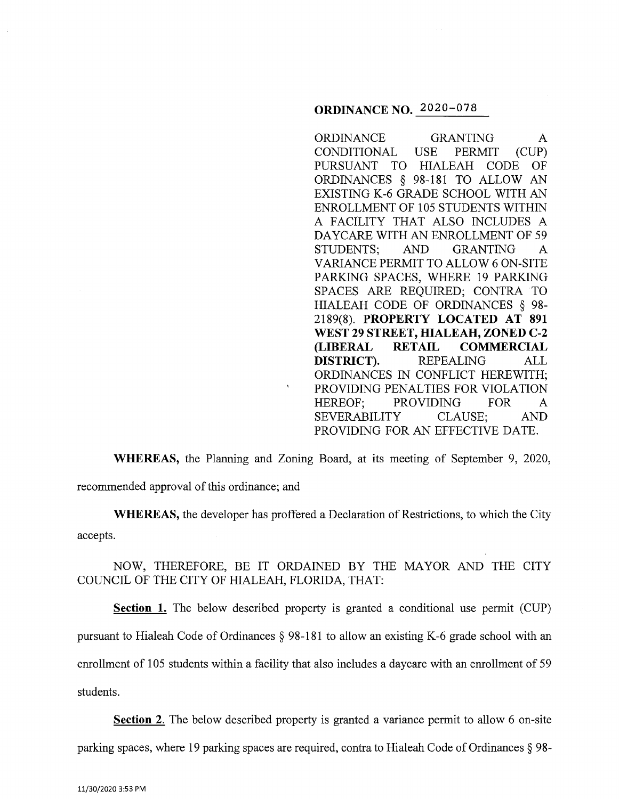# **ORDINANCE NO.** 2020-078

ORDINANCE GRANTING A CONDITIONAL USE PERMIT (CUP) PURSUANT TO HIALEAH CODE OF ORDINANCES § 98-181 TO ALLOW AN EXISTING K-6 GRADE SCHOOL WITH AN ENROLLMENT OF 105 STUDENTS WITHIN A FACILITY THAT ALSO INCLUDES A DAYCARE WITH AN ENROLLMENT OF 59 STUDENTS; AND GRANTING A VARIANCE PERMIT TO ALLOW 6 ON-SITE PARKING SPACES, WHERE 19 PARKING SPACES ARE REQUIRED; CONTRA TO HIALEAH CODE OF ORDINANCES § 98- 2189(8). **PROPERTY LOCATED AT 891 WEST 29 STREET, HIALEAH, ZONED C-2 (LIBERAL RETAIL COMMERCIAL DISTRICT).** REPEALING ALL ORDINANCES IN CONFLICT HEREWITH; PROVIDING PENALTIES FOR VIOLATION HEREOF; PROVIDING FOR A SEVERABILITY CLAUSE; AND PROVIDING FOR AN EFFECTIVE DATE.

**WHEREAS,** the Planning and Zoning Board, at its meeting of September 9, 2020,

recommended approval of this ordinance; and

**WHEREAS,** the developer has proffered a Declaration of Restrictions, to which the City accepts.

NOW, THEREFORE, BE IT ORDAINED BY THE MAYOR AND THE CITY COUNCIL OF THE CITY OF HIALEAH, FLORIDA, THAT:

**Section 1.** The below described property is granted a conditional use permit (CUP) pursuant to Hialeah Code of Ordinances § 98-181 to allow an existing K-6 grade school with an enrollment of 105 students within a facility that also includes a daycare with an enrollment of 59 students.

**Section 2.** The below described property is granted a variance permit to allow 6 on-site parking spaces, where 19 parking spaces are required, contra to Hialeah Code of Ordinances § 98-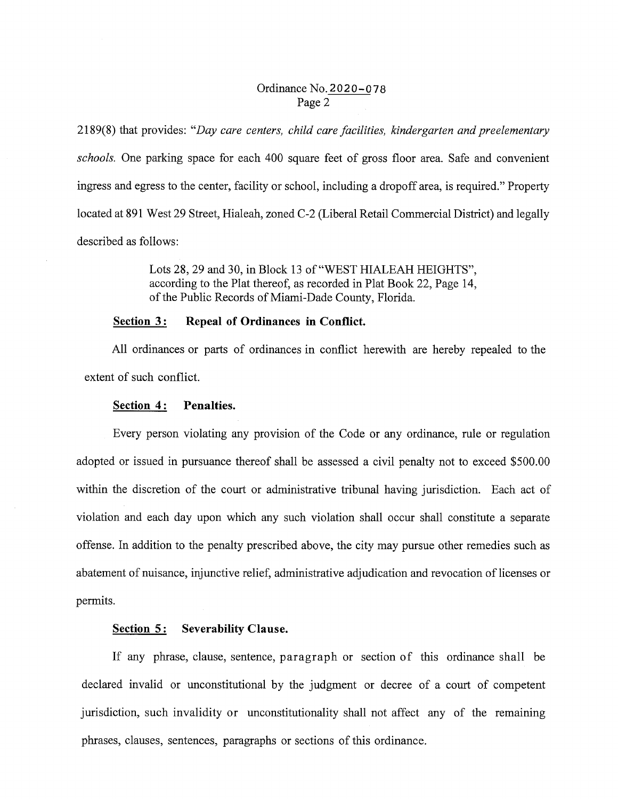### Ordinance No. 2020-078 Page 2

2189(8) that provides: *"Day care centers, child care facilities, kindergarten and preelementary schools.* One parking space for each 400 square feet of gross floor area. Safe and convenient ingress and egress to the center, facility or school, including a dropoff area, is required." Property located at 891 West 29 Street, Hialeah, zoned C-2 (Liberal Retail Commercial District) and legally described as follows:

> Lots 28, 29 and 30, in Block 13 of "WEST HIALEAH HEIGHTS", according to the Plat thereof, as recorded in Plat Book 22, Page 14, of the Public Records of Miami-Dade County, Florida.

### **Section 3: Repeal of Ordinances in Conflict.**

All ordinances or parts of ordinances in conflict herewith are hereby repealed to the extent of such conflict.

#### **Section 4: Penalties.**

Every person violating any provision of the Code or any ordinance, rule or regulation adopted or issued in pursuance thereof shall be assessed a civil penalty not to exceed \$500.00 within the discretion of the court or administrative tribunal having jurisdiction. Each act of violation and each day upon which any such violation shall occur shall constitute a separate offense. In addition to the penalty prescribed above, the city may pursue other remedies such as abatement of nuisance, injunctive relief, administrative adjudication and revocation of licenses or permits.

### **Section 5: Severability Clause.**

If any phrase, clause, sentence, paragraph or section of this ordinance shall be declared invalid or unconstitutional by the judgment or decree of a court of competent jurisdiction, such invalidity or unconstitutionality shall not affect any of the remaining phrases, clauses, sentences, paragraphs or sections of this ordinance.